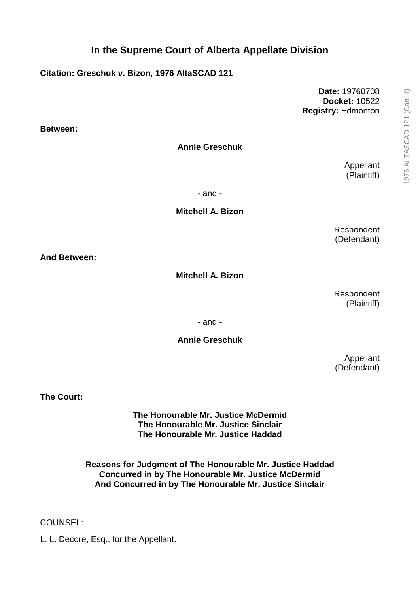**Citation: Greschuk v. Bizon, 1976 AltaSCAD 121**

**Date:** 19760708 **Docket:** 10522 **Registry:** Edmonton

**Between:**

**Annie Greschuk**

Appellant (Plaintiff)

- and -

**Mitchell A. Bizon**

Respondent (Defendant)

**And Between:**

**Mitchell A. Bizon**

Respondent (Plaintiff)

- and -

## **Annie Greschuk**

Appellant (Defendant)

**The Court:**

**The Honourable Mr. Justice McDermid The Honourable Mr. Justice Sinclair The Honourable Mr. Justice Haddad**

**Reasons for Judgment of The Honourable Mr. Justice Haddad Concurred in by The Honourable Mr. Justice McDermid And Concurred in by The Honourable Mr. Justice Sinclair**

## COUNSEL:

L. L. Decore, Esq., for the Appellant.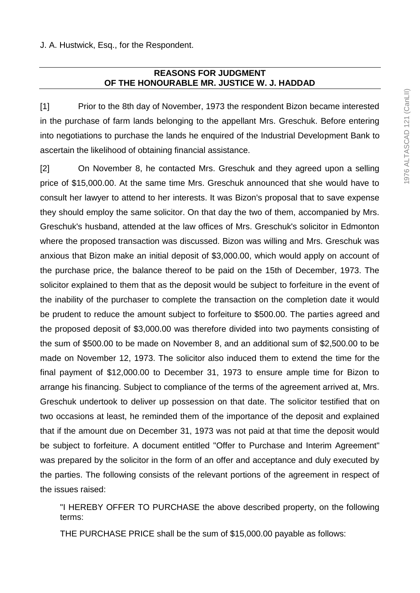## **REASONS FOR JUDGMENT OF THE HONOURABLE MR. JUSTICE W. J. HADDAD**

[1] Prior to the 8th day of November, 1973 the respondent Bizon became interested in the purchase of farm lands belonging to the appellant Mrs. Greschuk. Before entering into negotiations to purchase the lands he enquired of the Industrial Development Bank to ascertain the likelihood of obtaining financial assistance.

[2] On November 8, he contacted Mrs. Greschuk and they agreed upon a selling price of \$15,000.00. At the same time Mrs. Greschuk announced that she would have to consult her lawyer to attend to her interests. It was Bizon's proposal that to save expense they should employ the same solicitor. On that day the two of them, accompanied by Mrs. Greschuk's husband, attended at the law offices of Mrs. Greschuk's solicitor in Edmonton where the proposed transaction was discussed. Bizon was willing and Mrs. Greschuk was anxious that Bizon make an initial deposit of \$3,000.00, which would apply on account of the purchase price, the balance thereof to be paid on the 15th of December, 1973. The solicitor explained to them that as the deposit would be subject to forfeiture in the event of the inability of the purchaser to complete the transaction on the completion date it would be prudent to reduce the amount subject to forfeiture to \$500.00. The parties agreed and the proposed deposit of \$3,000.00 was therefore divided into two payments consisting of the sum of \$500.00 to be made on November 8, and an additional sum of \$2,500.00 to be made on November 12, 1973. The solicitor also induced them to extend the time for the final payment of \$12,000.00 to December 31, 1973 to ensure ample time for Bizon to arrange his financing. Subject to compliance of the terms of the agreement arrived at, Mrs. Greschuk undertook to deliver up possession on that date. The solicitor testified that on two occasions at least, he reminded them of the importance of the deposit and explained that if the amount due on December 31, 1973 was not paid at that time the deposit would be subject to forfeiture. A document entitled "Offer to Purchase and Interim Agreement" was prepared by the solicitor in the form of an offer and acceptance and duly executed by the parties. The following consists of the relevant portions of the agreement in respect of the issues raised:

"I HEREBY OFFER TO PURCHASE the above described property, on the following terms:

THE PURCHASE PRICE shall be the sum of \$15,000.00 payable as follows: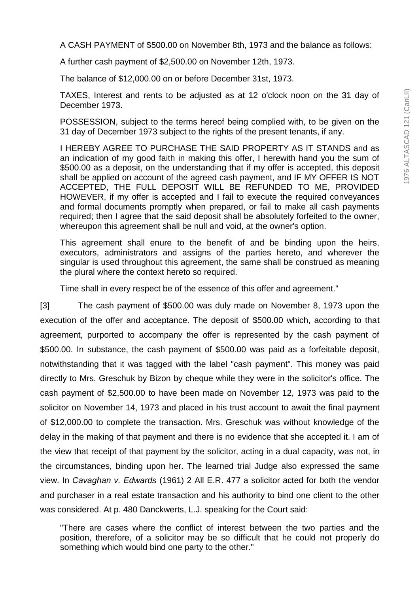A CASH PAYMENT of \$500.00 on November 8th, 1973 and the balance as follows:

A further cash payment of \$2,500.00 on November 12th, 1973.

The balance of \$12,000.00 on or before December 31st, 1973.

TAXES, Interest and rents to be adjusted as at 12 o'clock noon on the 31 day of December 1973.

POSSESSION, subject to the terms hereof being complied with, to be given on the 31 day of December 1973 subject to the rights of the present tenants, if any.

I HEREBY AGREE TO PURCHASE THE SAID PROPERTY AS IT STANDS and as an indication of my good faith in making this offer, I herewith hand you the sum of \$500.00 as a deposit, on the understanding that if my offer is accepted, this deposit shall be applied on account of the agreed cash payment, and IF MY OFFER IS NOT ACCEPTED, THE FULL DEPOSIT WILL BE REFUNDED TO ME, PROVIDED HOWEVER, if my offer is accepted and I fail to execute the required conveyances and formal documents promptly when prepared, or fail to make all cash payments required; then I agree that the said deposit shall be absolutely forfeited to the owner, whereupon this agreement shall be null and void, at the owner's option.

This agreement shall enure to the benefit of and be binding upon the heirs, executors, administrators and assigns of the parties hereto, and wherever the singular is used throughout this agreement, the same shall be construed as meaning the plural where the context hereto so required.

Time shall in every respect be of the essence of this offer and agreement."

[3] The cash payment of \$500.00 was duly made on November 8, 1973 upon the execution of the offer and acceptance. The deposit of \$500.00 which, according to that agreement, purported to accompany the offer is represented by the cash payment of \$500.00. In substance, the cash payment of \$500.00 was paid as a forfeitable deposit, notwithstanding that it was tagged with the label "cash payment". This money was paid directly to Mrs. Greschuk by Bizon by cheque while they were in the solicitor's office. The cash payment of \$2,500.00 to have been made on November 12, 1973 was paid to the solicitor on November 14, 1973 and placed in his trust account to await the final payment of \$12,000.00 to complete the transaction. Mrs. Greschuk was without knowledge of the delay in the making of that payment and there is no evidence that she accepted it. I am of the view that receipt of that payment by the solicitor, acting in a dual capacity, was not, in the circumstances, binding upon her. The learned trial Judge also expressed the same view. In *Cavaghan v. Edwards* (1961) 2 All E.R. 477 a solicitor acted for both the vendor and purchaser in a real estate transaction and his authority to bind one client to the other was considered. At p. 480 Danckwerts, L.J. speaking for the Court said:

"There are cases where the conflict of interest between the two parties and the position, therefore, of a solicitor may be so difficult that he could not properly do something which would bind one party to the other."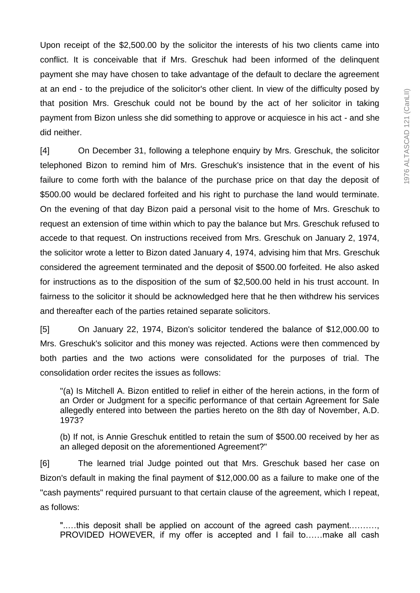Upon receipt of the \$2,500.00 by the solicitor the interests of his two clients came into conflict. It is conceivable that if Mrs. Greschuk had been informed of the delinquent payment she may have chosen to take advantage of the default to declare the agreement at an end - to the prejudice of the solicitor's other client. In view of the difficulty posed by that position Mrs. Greschuk could not be bound by the act of her solicitor in taking payment from Bizon unless she did something to approve or acquiesce in his act - and she did neither.

[4] On December 31, following a telephone enquiry by Mrs. Greschuk, the solicitor telephoned Bizon to remind him of Mrs. Greschuk's insistence that in the event of his failure to come forth with the balance of the purchase price on that day the deposit of \$500.00 would be declared forfeited and his right to purchase the land would terminate. On the evening of that day Bizon paid a personal visit to the home of Mrs. Greschuk to request an extension of time within which to pay the balance but Mrs. Greschuk refused to accede to that request. On instructions received from Mrs. Greschuk on January 2, 1974, the solicitor wrote a letter to Bizon dated January 4, 1974, advising him that Mrs. Greschuk considered the agreement terminated and the deposit of \$500.00 forfeited. He also asked for instructions as to the disposition of the sum of \$2,500.00 held in his trust account. In fairness to the solicitor it should be acknowledged here that he then withdrew his services and thereafter each of the parties retained separate solicitors.

[5] On January 22, 1974, Bizon's solicitor tendered the balance of \$12,000.00 to Mrs. Greschuk's solicitor and this money was rejected. Actions were then commenced by both parties and the two actions were consolidated for the purposes of trial. The consolidation order recites the issues as follows:

"(a) Is Mitchell A. Bizon entitled to relief in either of the herein actions, in the form of an Order or Judgment for a specific performance of that certain Agreement for Sale allegedly entered into between the parties hereto on the 8th day of November, A.D. 1973?

(b) If not, is Annie Greschuk entitled to retain the sum of \$500.00 received by her as an alleged deposit on the aforementioned Agreement?"

[6] The learned trial Judge pointed out that Mrs. Greschuk based her case on Bizon's default in making the final payment of \$12,000.00 as a failure to make one of the "cash payments" required pursuant to that certain clause of the agreement, which I repeat, as follows:

".....this deposit shall be applied on account of the agreed cash payment.......... PROVIDED HOWEVER, if my offer is accepted and I fail to……make all cash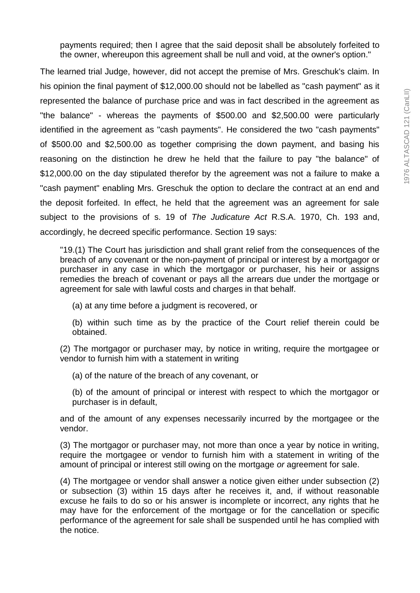payments required; then I agree that the said deposit shall be absolutely forfeited to the owner, whereupon this agreement shall be null and void, at the owner's option."

The learned trial Judge, however, did not accept the premise of Mrs. Greschuk's claim. In his opinion the final payment of \$12,000.00 should not be labelled as "cash payment" as it represented the balance of purchase price and was in fact described in the agreement as "the balance" - whereas the payments of \$500.00 and \$2,500.00 were particularly identified in the agreement as "cash payments". He considered the two "cash payments" of \$500.00 and \$2,500.00 as together comprising the down payment, and basing his reasoning on the distinction he drew he held that the failure to pay "the balance" of \$12,000.00 on the day stipulated therefor by the agreement was not a failure to make a "cash payment" enabling Mrs. Greschuk the option to declare the contract at an end and the deposit forfeited. In effect, he held that the agreement was an agreement for sale subject to the provisions of s. 19 of *The Judicature Act* R.S.A. 1970, Ch. 193 and, accordingly, he decreed specific performance. Section 19 says:

"19.(1) The Court has jurisdiction and shall grant relief from the consequences of the breach of any covenant or the non-payment of principal or interest by a mortgagor or purchaser in any case in which the mortgagor or purchaser, his heir or assigns remedies the breach of covenant or pays all the arrears due under the mortgage or agreement for sale with lawful costs and charges in that behalf.

- (a) at any time before a judgment is recovered, or
- (b) within such time as by the practice of the Court relief therein could be obtained.
- (2) The mortgagor or purchaser may, by notice in writing, require the mortgagee or vendor to furnish him with a statement in writing
	- (a) of the nature of the breach of any covenant, or
	- (b) of the amount of principal or interest with respect to which the mortgagor or purchaser is in default,

and of the amount of any expenses necessarily incurred by the mortgagee or the vendor.

(3) The mortgagor or purchaser may, not more than once a year by notice in writing, require the mortgagee or vendor to furnish him with a statement in writing of the amount of principal or interest still owing on the mortgage *or* agreement for sale.

(4) The mortgagee or vendor shall answer a notice given either under subsection (2) or subsection (3) within 15 days after he receives it, and, if without reasonable excuse he fails to do so or his answer is incomplete or incorrect, any rights that he may have for the enforcement of the mortgage or for the cancellation or specific performance of the agreement for sale shall be suspended until he has complied with the notice.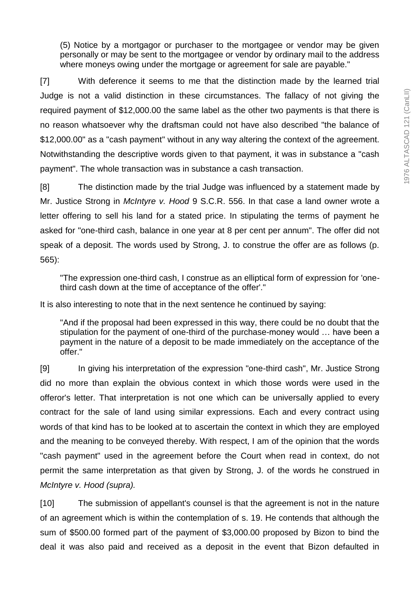(5) Notice by a mortgagor or purchaser to the mortgagee or vendor may be given personally or may be sent to the mortgagee or vendor by ordinary mail to the address where moneys owing under the mortgage or agreement for sale are payable."

[7] With deference it seems to me that the distinction made by the learned trial Judge is not a valid distinction in these circumstances. The fallacy of not giving the required payment of \$12,000.00 the same label as the other two payments is that there is no reason whatsoever why the draftsman could not have also described "the balance of \$12,000.00" as a "cash payment" without in any way altering the context of the agreement. Notwithstanding the descriptive words given to that payment, it was in substance a "cash payment". The whole transaction was in substance a cash transaction.

[8] The distinction made by the trial Judge was influenced by a statement made by Mr. Justice Strong in *McIntyre v. Hood* 9 S.C.R. 556. In that case a land owner wrote a letter offering to sell his land for a stated price. In stipulating the terms of payment he asked for "one-third cash, balance in one year at 8 per cent per annum". The offer did not speak of a deposit. The words used by Strong, J. to construe the offer are as follows (p. 565):

"The expression one-third cash, I construe as an elliptical form of expression for 'onethird cash down at the time of acceptance of the offer'."

It is also interesting to note that in the next sentence he continued by saying:

"And if the proposal had been expressed in this way, there could be no doubt that the stipulation for the payment of one-third of the purchase-money would … have been a payment in the nature of a deposit to be made immediately on the acceptance of the offer."

[9] In giving his interpretation of the expression "one-third cash", Mr. Justice Strong did no more than explain the obvious context in which those words were used in the offeror's letter. That interpretation is not one which can be universally applied to every contract for the sale of land using similar expressions. Each and every contract using words of that kind has to be looked at to ascertain the context in which they are employed and the meaning to be conveyed thereby. With respect, I am of the opinion that the words "cash payment" used in the agreement before the Court when read in context, do not permit the same interpretation as that given by Strong, J. of the words he construed in *McIntyre v. Hood (supra).*

[10] The submission of appellant's counsel is that the agreement is not in the nature of an agreement which is within the contemplation of s. 19. He contends that although the sum of \$500.00 formed part of the payment of \$3,000.00 proposed by Bizon to bind the deal it was also paid and received as a deposit in the event that Bizon defaulted in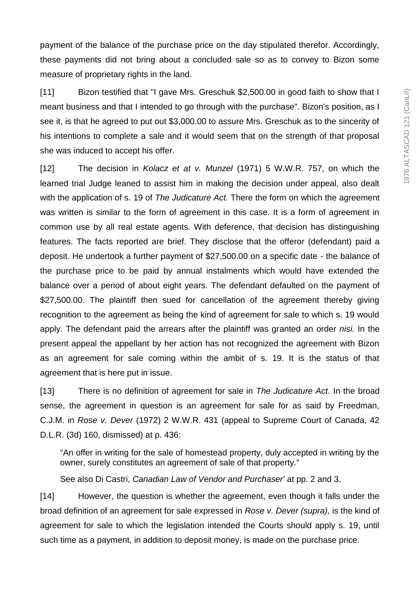payment of the balance of the purchase price on the day stipulated therefor. Accordingly, these payments did not bring about a concluded sale so as to convey to Bizon some measure of proprietary rights in the land.

[11] Bizon testified that "I gave Mrs. Greschuk \$2,500.00 in good faith to show that I meant business and that I intended to go through with the purchase". Bizon's position, as I see it, is that he agreed to put out \$3,000.00 to assure Mrs. Greschuk as to the sincerity of his intentions to complete a sale and it would seem that on the strength of that proposal she was induced to accept his offer.

[12] The decision in *Kolacz et at v. Munzel* (1971) 5 W.W.R. 757, on which the learned trial Judge leaned to assist him in making the decision under appeal, also dealt with the application of s. 19 of *The Judicature Act.* There the form on which the agreement was written is similar to the form of agreement in this case. It is a form of agreement in common use by all real estate agents. With deference, that decision has distinguishing features. The facts reported are brief. They disclose that the offeror (defendant) paid a deposit. He undertook a further payment of \$27,500.00 on a specific date - the balance of the purchase price to be paid by annual instalments which would have extended the balance over a period of about eight years. The defendant defaulted on the payment of \$27,500.00. The plaintiff then sued for cancellation of the agreement thereby giving recognition to the agreement as being the kind of agreement for sale to which s. 19 would apply. The defendant paid the arrears after the plaintiff was granted an order *nisi.* In the present appeal the appellant by her action has not recognized the agreement with Bizon as an agreement for sale coming within the ambit of s. 19. It is the status of that agreement that is here put in issue.

[13] There is no definition of agreement for sale in *The Judicature Act.* In the broad sense, the agreement in question is an agreement for sale for as said by Freedman, C.J.M. in *Rose v. Dever* (1972) 2 W.W.R. 431 (appeal to Supreme Court of Canada, 42 D.L.R. (3d) 160, dismissed) at p. 436:

"An offer in writing for the sale of homestead property, duly accepted in writing by the owner, surely constitutes an agreement of sale of that property."

See also Di Castri, *Canadian Law of Vendor and Purchaser'* at pp. 2 and 3.

[14] However, the question is whether the agreement, even though it falls under the broad definition of an agreement for sale expressed in *Rose v. Dever (supra),* is the kind of agreement for sale to which the legislation intended the Courts should apply s. 19, until such time as a payment, in addition to deposit money, is made on the purchase price.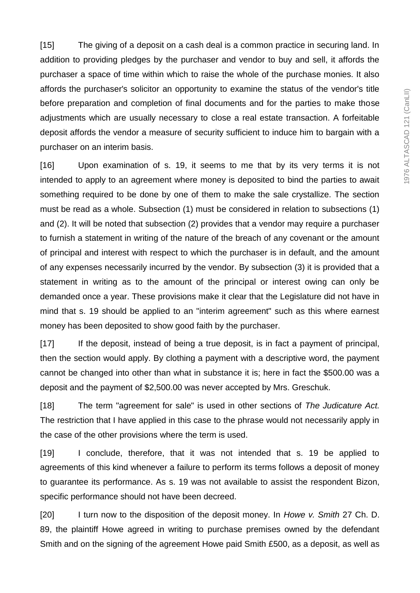[15] The giving of a deposit on a cash deal is a common practice in securing land. In addition to providing pledges by the purchaser and vendor to buy and sell, it affords the purchaser a space of time within which to raise the whole of the purchase monies. It also affords the purchaser's solicitor an opportunity to examine the status of the vendor's title before preparation and completion of final documents and for the parties to make those adjustments which are usually necessary to close a real estate transaction. A forfeitable deposit affords the vendor a measure of security sufficient to induce him to bargain with a purchaser on an interim basis.

[16] Upon examination of s. 19, it seems to me that by its very terms it is not intended to apply to an agreement where money is deposited to bind the parties to await something required to be done by one of them to make the sale crystallize. The section must be read as a whole. Subsection (1) must be considered in relation to subsections (1) and (2). It will be noted that subsection (2) provides that a vendor may require a purchaser to furnish a statement in writing of the nature of the breach of any covenant or the amount of principal and interest with respect to which the purchaser is in default, and the amount of any expenses necessarily incurred by the vendor. By subsection (3) it is provided that a statement in writing as to the amount of the principal or interest owing can only be demanded once a year. These provisions make it clear that the Legislature did not have in mind that s. 19 should be applied to an "interim agreement" such as this where earnest money has been deposited to show good faith by the purchaser.

[17] If the deposit, instead of being a true deposit, is in fact a payment of principal, then the section would apply. By clothing a payment with a descriptive word, the payment cannot be changed into other than what in substance it is; here in fact the \$500.00 was a deposit and the payment of \$2,500.00 was never accepted by Mrs. Greschuk.

[18] The term "agreement for sale" is used in other sections of *The Judicature Act.*  The restriction that I have applied in this case to the phrase would not necessarily apply in the case of the other provisions where the term is used.

[19] I conclude, therefore, that it was not intended that s. 19 be applied to agreements of this kind whenever a failure to perform its terms follows a deposit of money to guarantee its performance. As s. 19 was not available to assist the respondent Bizon, specific performance should not have been decreed.

[20] I turn now to the disposition of the deposit money. In *Howe v. Smith* 27 Ch. D. 89, the plaintiff Howe agreed in writing to purchase premises owned by the defendant Smith and on the signing of the agreement Howe paid Smith £500, as a deposit, as well as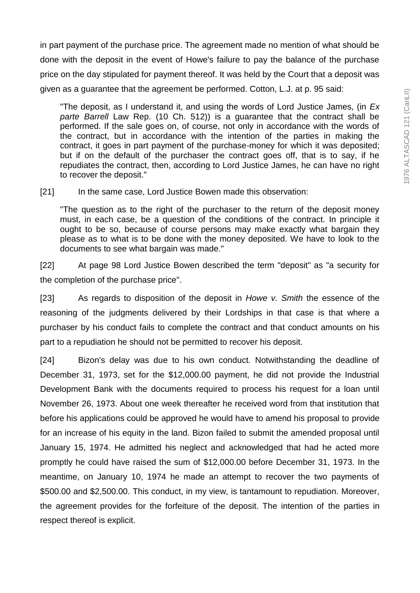in part payment of the purchase price. The agreement made no mention of what should be done with the deposit in the event of Howe's failure to pay the balance of the purchase price on the day stipulated for payment thereof. It was held by the Court that a deposit was given as a guarantee that the agreement be performed. Cotton, L.J. at p. 95 said:

"The deposit, as I understand it, and using the words of Lord Justice James, (in *Ex parte Barrell* Law Rep. (10 Ch. 512)) is a guarantee that the contract shall be performed. If the sale goes on, of course, not only in accordance with the words of the contract, but in accordance with the intention of the parties in making the contract, it goes in part payment of the purchase-money for which it was deposited; but if on the default of the purchaser the contract goes off, that is to say, if he repudiates the contract, then, according to Lord Justice James, he can have no right to recover the deposit."

[21] In the same case, Lord Justice Bowen made this observation:

"The question as to the right of the purchaser to the return of the deposit money must, in each case, be a question of the conditions of the contract. In principle it ought to be so, because of course persons may make exactly what bargain they please as to what is to be done with the money deposited. We have to look to the documents to see what bargain was made."

[22] At page 98 Lord Justice Bowen described the term "deposit" as "a security for the completion of the purchase price".

[23] As regards to disposition of the deposit in *Howe v. Smith* the essence of the reasoning of the judgments delivered by their Lordships in that case is that where a purchaser by his conduct fails to complete the contract and that conduct amounts on his part to a repudiation he should not be permitted to recover his deposit.

[24] Bizon's delay was due to his own conduct. Notwithstanding the deadline of December 31, 1973, set for the \$12,000.00 payment, he did not provide the Industrial Development Bank with the documents required to process his request for a loan until November 26, 1973. About one week thereafter he received word from that institution that before his applications could be approved he would have to amend his proposal to provide for an increase of his equity in the land. Bizon failed to submit the amended proposal until January 15, 1974. He admitted his neglect and acknowledged that had he acted more promptly he could have raised the sum of \$12,000.00 before December 31, 1973. In the meantime, on January 10, 1974 he made an attempt to recover the two payments of \$500.00 and \$2,500.00. This conduct, in my view, is tantamount to repudiation. Moreover, the agreement provides for the forfeiture of the deposit. The intention of the parties in respect thereof is explicit.